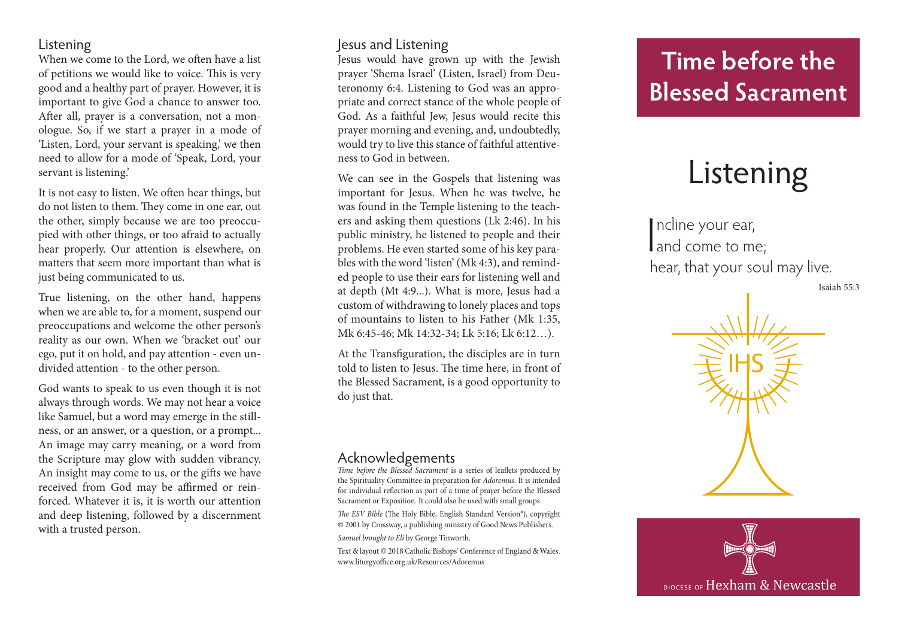### Listening

When we come to the Lord, we often have a list of petitions we would like to voice. This is very good and a healthy part of prayer. However, it is important to give God a chance to answer too. After all, prayer is a conversation, not a monologue. So, if we start a prayer in a mode of 'Listen, Lord, your servant is speaking,' we then need to allow for a mode of 'Speak, Lord, your servant is listening.'

It is not easy to listen. We often hear things, but do not listen to them. They come in one ear, out the other, simply because we are too preoccupied with other things, or too afraid to actually hear properly. Our attention is elsewhere, on matters that seem more important than what is just being communicated to us.

True listening, on the other hand, happens when we are able to, for a moment, suspend our preoccupations and welcome the other person's reality as our own. When we 'bracket out' our ego, put it on hold, and pay attention - even undivided attention - to the other person.

God wants to speak to us even though it is not always through words. We may not hear a voice like Samuel, but a word may emerge in the stillness, or an answer, or a question, or a prompt... An image may carry meaning, or a word from the Scripture may glow with sudden vibrancy. An insight may come to us, or the gifts we have received from God may be affirmed or reinforced. Whatever it is, it is worth our attention and deep listening, followed by a discernment with a trusted person.

### Jesus and Listening

Jesus would have grown up with the Jewish prayer 'Shema Israel' (Listen, Israel) from Deuteronomy 6:4. Listening to God was an appropriate and correct stance of the whole people of God. As a faithful Jew, Jesus would recite this prayer morning and evening, and, undoubtedly, would try to live this stance of faithful attentiveness to God in between.

We can see in the Gospels that listening was important for Jesus. When he was twelve, he was found in the Temple listening to the teachers and asking them questions (Lk 2:46). In his public ministry, he listened to people and their problems. He even started some of his key parables with the word 'listen' (Mk 4:3), and reminded people to use their ears for listening well and at depth (Mt 4:9...). What is more, Jesus had a custom of withdrawing to lonely places and tops of mountains to listen to his Father (Mk 1:35, Mk 6:45-46; Mk 14:32-34; Lk 5:16; Lk 6:12…).

At the Transfiguration, the disciples are in turn told to listen to Jesus. The time here, in front of the Blessed Sacrament, is a good opportunity to do just that.

### Acknowledgements

*Time before the Blessed Sacrament* is a series of leaflets produced by the Spirituality Committee in preparation for *Adoremus*. It is intended for individual reflection as part of a time of prayer before the Blessed Sacrament or Exposition. It could also be used with small groups.

*The ESV Bible* (The Holy Bible, English Standard Version®), copyright © 2001 by Crossway, a publishing ministry of Good News Publishers. *Samuel brought to Eli* by George Tinworth.

Text & layout © 2018 Catholic Bishops' Conference of England & Wales. www.liturgyoffice.org.uk/Resources/Adoremus

# **Time before the Blessed Sacrament**

# Listening

I ncline your ear, and come to me; hear, that your soul may live.

Isaiah 55:3